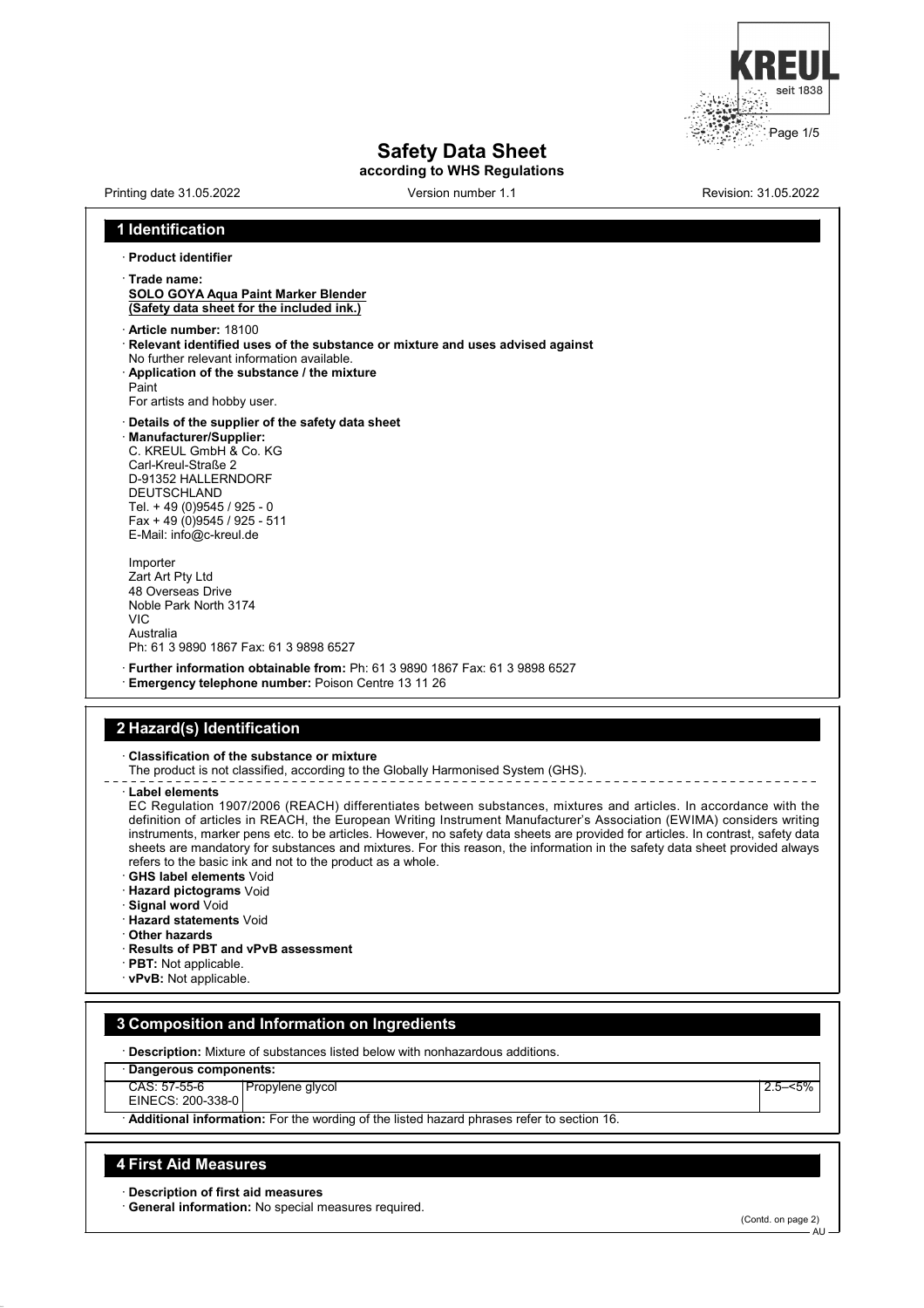

# **Safety Data Sheet**

**according to WHS Regulations**

Printing date 31.05.2022 Version number 1.1 Revision: 31.05.2022

#### **1 Identification** · **Product identifier** · **Trade name: SOLO GOYA Aqua Paint Marker Blender (Safety data sheet for the included ink.)** · **Article number:** 18100 · **Relevant identified uses of the substance or mixture and uses advised against** No further relevant information available. · **Application of the substance / the mixture** Paint For artists and hobby user. · **Details of the supplier of the safety data sheet** · **Manufacturer/Supplier:** C. KREUL GmbH & Co. KG Carl-Kreul-Straße 2 D-91352 HALLERNDORF DEUTSCHLAND Tel. + 49 (0)9545 / 925 - 0 Fax + 49 (0)9545 / 925 - 511 E-Mail: info@c-kreul.de Importer Zart Art Pty Ltd 48 Overseas Drive Noble Park North 3174 VIC Australia Ph: 61 3 9890 1867 Fax: 61 3 9898 6527 · **Further information obtainable from:** Ph: 61 3 9890 1867 Fax: 61 3 9898 6527 · **Emergency telephone number:** Poison Centre 13 11 26 **2 Hazard(s) Identification**

· **Classification of the substance or mixture**

The product is not classified, according to the Globally Harmonised System (GHS).

· **Label elements**

EC Regulation 1907/2006 (REACH) differentiates between substances, mixtures and articles. In accordance with the definition of articles in REACH, the European Writing Instrument Manufacturer's Association (EWIMA) considers writing instruments, marker pens etc. to be articles. However, no safety data sheets are provided for articles. In contrast, safety data sheets are mandatory for substances and mixtures. For this reason, the information in the safety data sheet provided always refers to the basic ink and not to the product as a whole.

- · **GHS label elements** Void
- · **Hazard pictograms** Void
- · **Signal word** Void
- · **Hazard statements** Void
- · **Other hazards**
- · **Results of PBT and vPvB assessment**
- · **PBT:** Not applicable.
- · **vPvB:** Not applicable.

## **3 Composition and Information on Ingredients** · **Description:** Mixture of substances listed below with nonhazardous additions. · **Dangerous components:** CAS: 57-55-6 EINECS: 200-338-0 Propylene glycol 2.5–<5% · **Additional information:** For the wording of the listed hazard phrases refer to section 16. **4 First Aid Measures** · **Description of first aid measures**

· **General information:** No special measures required.

(Contd. on page 2)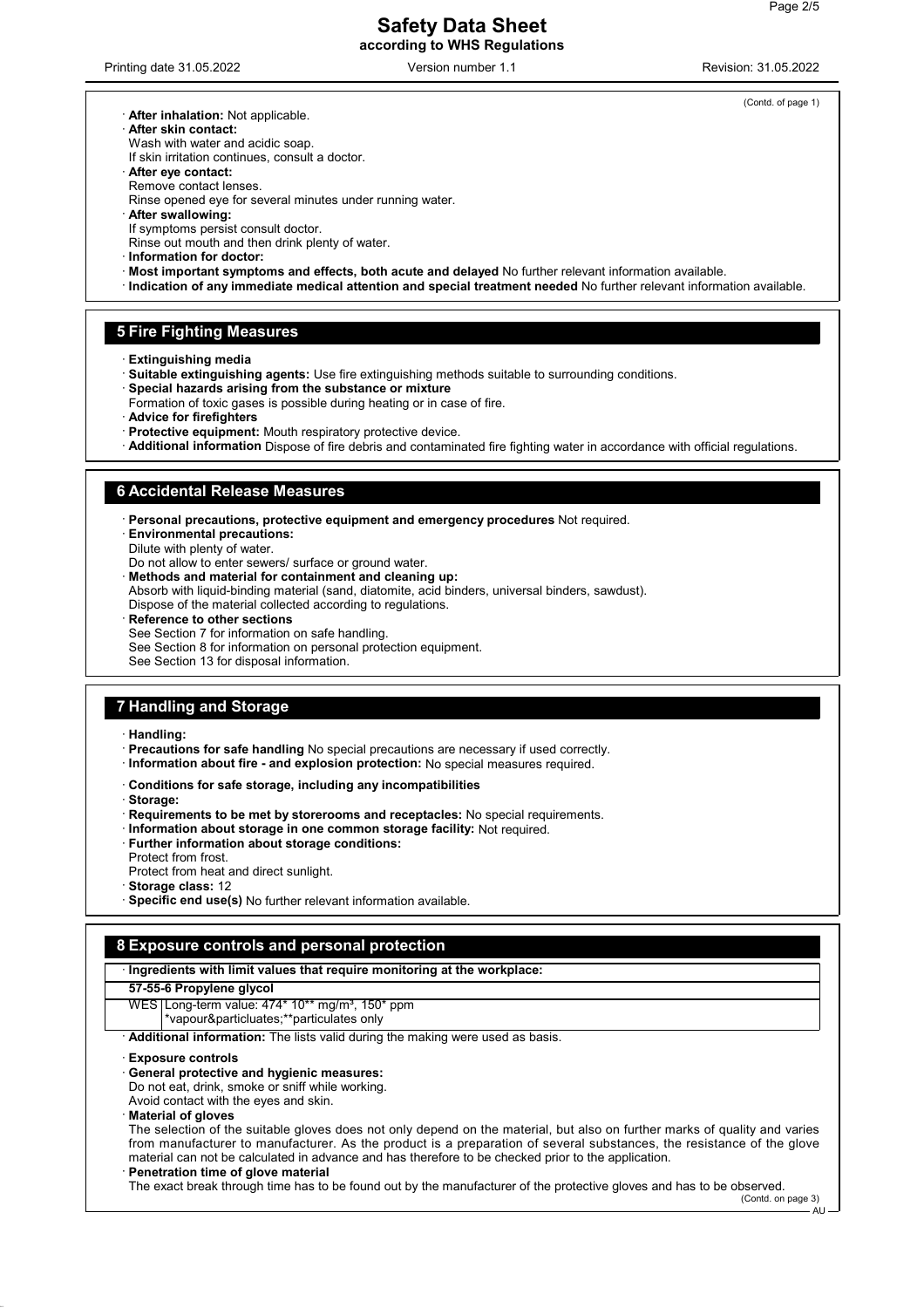## **Safety Data Sheet according to WHS Regulations**

Printing date 31.05.2022 Version number 1.1 Revision: 31.05.2022

(Contd. of page 1)

- · **After inhalation:** Not applicable.
- · **After skin contact:**
- Wash with water and acidic soap. If skin irritation continues, consult a doctor.
- · **After eye contact:**
- Remove contact lenses.
- Rinse opened eye for several minutes under running water.
- · **After swallowing:**
- If symptoms persist consult doctor.
- Rinse out mouth and then drink plenty of water.
- · **Information for doctor:**
- · **Most important symptoms and effects, both acute and delayed** No further relevant information available.
- · **Indication of any immediate medical attention and special treatment needed** No further relevant information available.

## **5 Fire Fighting Measures**

- · **Extinguishing media**
- · **Suitable extinguishing agents:** Use fire extinguishing methods suitable to surrounding conditions.
- · **Special hazards arising from the substance or mixture**
- Formation of toxic gases is possible during heating or in case of fire.
- · **Advice for firefighters**
- · **Protective equipment:** Mouth respiratory protective device.
- · **Additional information** Dispose of fire debris and contaminated fire fighting water in accordance with official regulations.

### **6 Accidental Release Measures**

- · **Personal precautions, protective equipment and emergency procedures** Not required.
- · **Environmental precautions:**
- Dilute with plenty of water.
- Do not allow to enter sewers/ surface or ground water.
- · **Methods and material for containment and cleaning up:**
- Absorb with liquid-binding material (sand, diatomite, acid binders, universal binders, sawdust).
- Dispose of the material collected according to regulations.
- **Reference to other sections**
- See Section 7 for information on safe handling.
- See Section 8 for information on personal protection equipment.
- See Section 13 for disposal information.

## **7 Handling and Storage**

- · **Handling:**
- · **Precautions for safe handling** No special precautions are necessary if used correctly.
- · **Information about fire and explosion protection:** No special measures required.
- · **Conditions for safe storage, including any incompatibilities**
- · **Storage:**
- · **Requirements to be met by storerooms and receptacles:** No special requirements.
- · **Information about storage in one common storage facility:** Not required.
- · **Further information about storage conditions:**
- Protect from frost.
- Protect from heat and direct sunlight.
- · **Storage class:** 12
- · **Specific end use(s)** No further relevant information available.

### **8 Exposure controls and personal protection**

· **Ingredients with limit values that require monitoring at the workplace:**

#### **57-55-6 Propylene glycol**

WES | Long-term value: 474\* 10\*\* mg/m<sup>3</sup>, 150\* ppm

\*vapour&particluates;\*\*particulates only

· **Additional information:** The lists valid during the making were used as basis.

- · **Exposure controls**
- · **General protective and hygienic measures:**
- Do not eat, drink, smoke or sniff while working.
- Avoid contact with the eyes and skin.

#### · **Material of gloves**

The selection of the suitable gloves does not only depend on the material, but also on further marks of quality and varies from manufacturer to manufacturer. As the product is a preparation of several substances, the resistance of the glove material can not be calculated in advance and has therefore to be checked prior to the application.

· **Penetration time of glove material**

The exact break through time has to be found out by the manufacturer of the protective gloves and has to be observed.

(Contd. on page 3) AU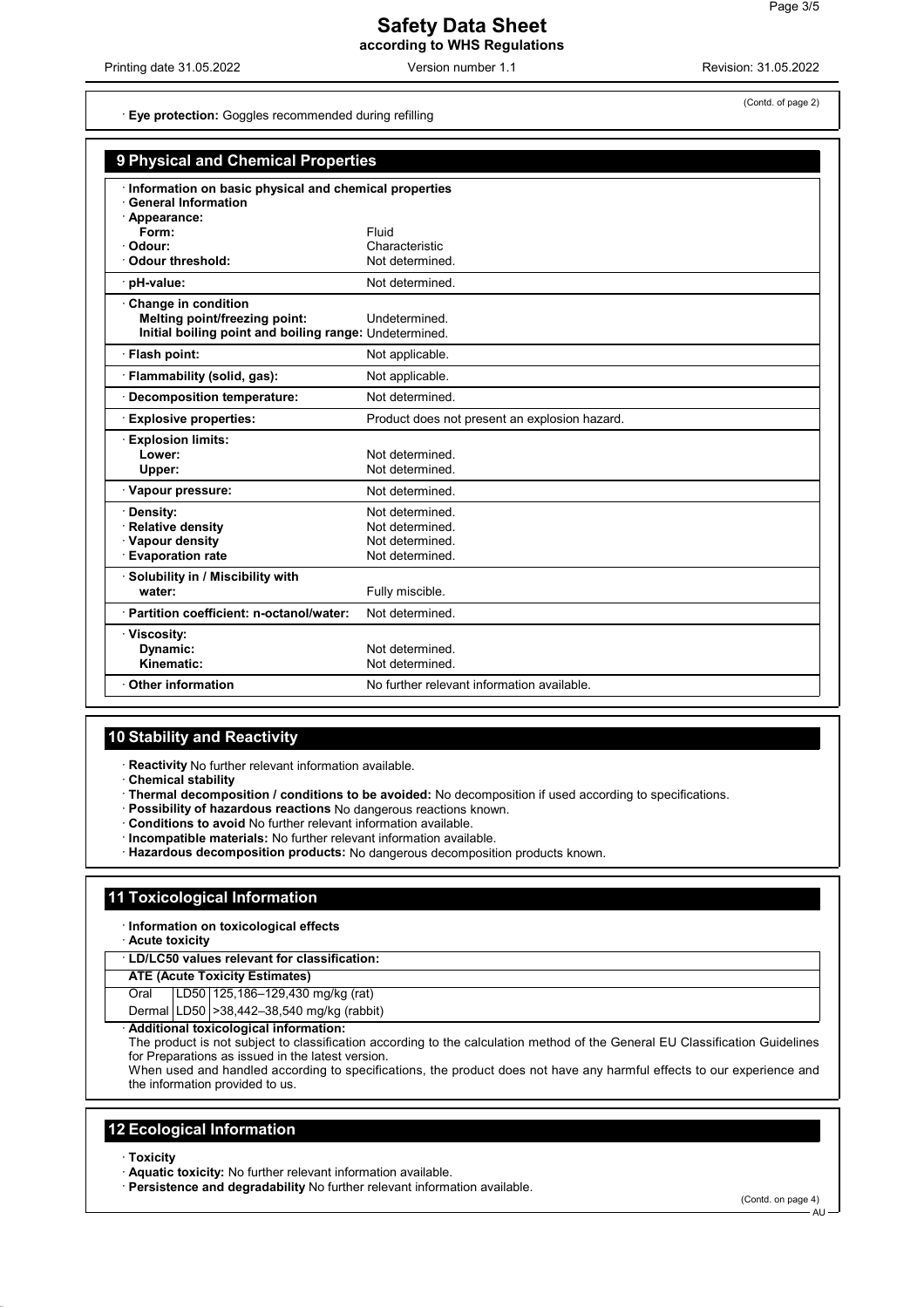Printing date 31.05.2022 Version number 1.1 Revision: 31.05.2022

(Contd. of page 2)

· **Eye protection:** Goggles recommended during refilling

| 9 Physical and Chemical Properties                                                                             |                                               |  |
|----------------------------------------------------------------------------------------------------------------|-----------------------------------------------|--|
| Information on basic physical and chemical properties<br><b>General Information</b><br>· Appearance:           |                                               |  |
| Form:                                                                                                          | Fluid                                         |  |
| · Odour:                                                                                                       | Characteristic                                |  |
| Odour threshold:                                                                                               | Not determined.                               |  |
| · pH-value:                                                                                                    | Not determined.                               |  |
| Change in condition<br>Melting point/freezing point:<br>Initial boiling point and boiling range: Undetermined. | Undetermined.                                 |  |
| · Flash point:                                                                                                 | Not applicable.                               |  |
| · Flammability (solid, gas):                                                                                   | Not applicable.                               |  |
| Decomposition temperature:                                                                                     | Not determined.                               |  |
| <b>Explosive properties:</b>                                                                                   | Product does not present an explosion hazard. |  |
| <b>Explosion limits:</b>                                                                                       |                                               |  |
| Lower:                                                                                                         | Not determined.                               |  |
| Upper:                                                                                                         | Not determined.                               |  |
| · Vapour pressure:                                                                                             | Not determined.                               |  |
| Density:                                                                                                       | Not determined.                               |  |
| <b>Relative density</b>                                                                                        | Not determined.                               |  |
| · Vapour density                                                                                               | Not determined.                               |  |
| <b>Evaporation rate</b>                                                                                        | Not determined.                               |  |
| · Solubility in / Miscibility with                                                                             |                                               |  |
| water:                                                                                                         | Fully miscible.                               |  |
| · Partition coefficient: n-octanol/water:                                                                      | Not determined.                               |  |
| · Viscosity:                                                                                                   |                                               |  |
| Dynamic:                                                                                                       | Not determined.                               |  |
| Kinematic:                                                                                                     | Not determined.                               |  |
|                                                                                                                | No further relevant information available.    |  |

## **10 Stability and Reactivity**

· **Reactivity** No further relevant information available.

- · **Chemical stability**
- · **Thermal decomposition / conditions to be avoided:** No decomposition if used according to specifications.
- · **Possibility of hazardous reactions** No dangerous reactions known.
- · **Conditions to avoid** No further relevant information available.
- · **Incompatible materials:** No further relevant information available.
- · **Hazardous decomposition products:** No dangerous decomposition products known.

## **11 Toxicological Information**

#### · **Information on toxicological effects**

· **Acute toxicity**

· **LD/LC50 values relevant for classification:**

**ATE (Acute Toxicity Estimates)**

Oral LD50 125,186–129,430 mg/kg (rat)

Dermal LD50 >38,442–38,540 mg/kg (rabbit)

· **Additional toxicological information:**

The product is not subject to classification according to the calculation method of the General EU Classification Guidelines for Preparations as issued in the latest version.

When used and handled according to specifications, the product does not have any harmful effects to our experience and the information provided to us.

#### **12 Ecological Information**

- · **Toxicity**
- · **Aquatic toxicity:** No further relevant information available.
- · **Persistence and degradability** No further relevant information available.

(Contd. on page 4)

AU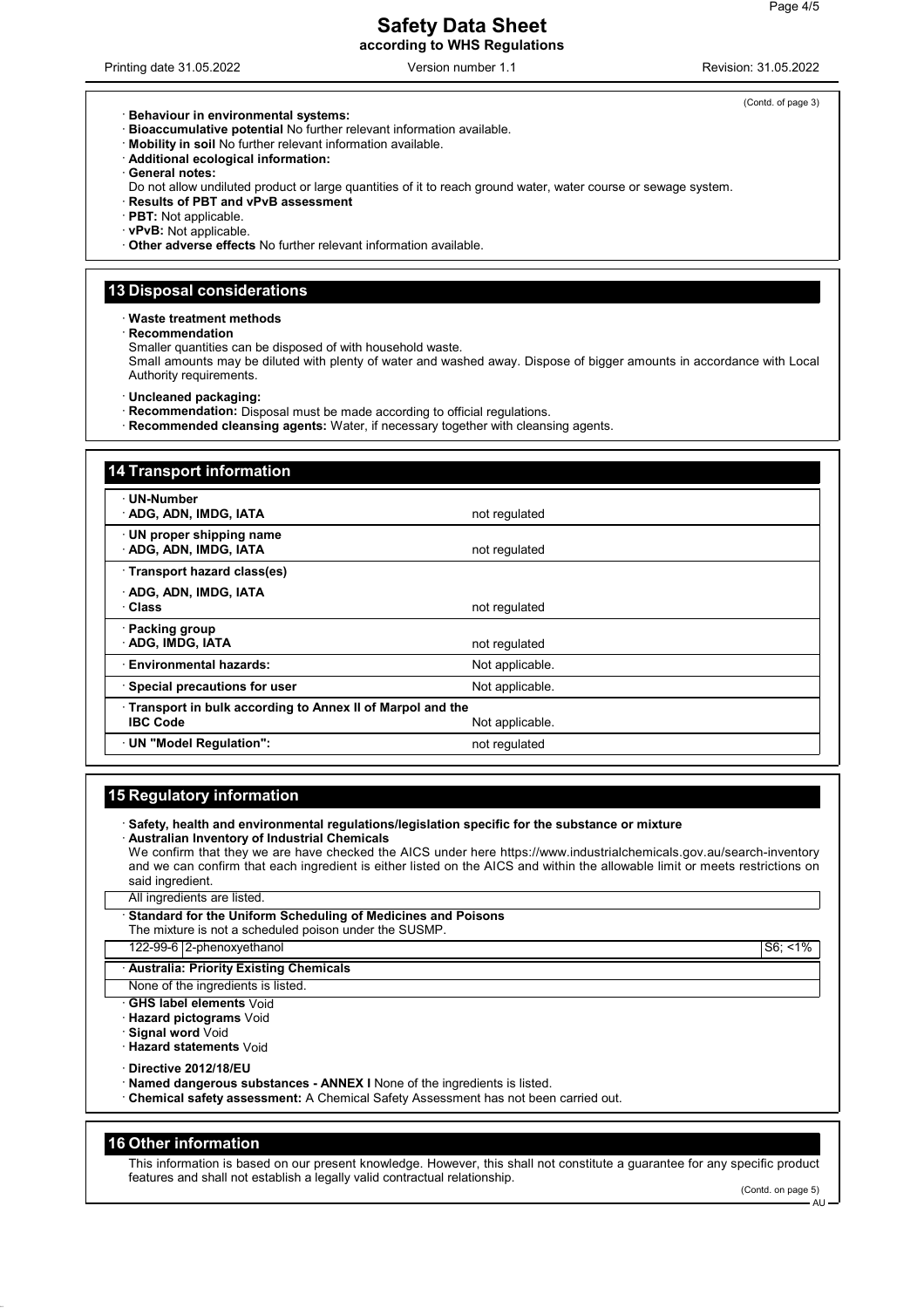## **Safety Data Sheet according to WHS Regulations**

Printing date 31.05.2022 **Version number 1.1** Nevision: 31.05.2022 Revision: 31.05.2022

(Contd. of page 3)

· **Behaviour in environmental systems:**

- · **Bioaccumulative potential** No further relevant information available.
- · **Mobility in soil** No further relevant information available.
- · **Additional ecological information:**
- · **General notes:**
- Do not allow undiluted product or large quantities of it to reach ground water, water course or sewage system.
- · **Results of PBT and vPvB assessment**
- · **PBT:** Not applicable.
- · **vPvB:** Not applicable.
- · **Other adverse effects** No further relevant information available.

#### **13 Disposal considerations**

· **Waste treatment methods**

· **Recommendation**

Smaller quantities can be disposed of with household waste.

Small amounts may be diluted with plenty of water and washed away. Dispose of bigger amounts in accordance with Local Authority requirements.

· **Uncleaned packaging:**

- · **Recommendation:** Disposal must be made according to official regulations.
- · **Recommended cleansing agents:** Water, if necessary together with cleansing agents.

| <b>14 Transport information</b>                                              |                 |
|------------------------------------------------------------------------------|-----------------|
| · UN-Number<br>ADG, ADN, IMDG, IATA                                          | not regulated   |
| UN proper shipping name<br>· ADG, ADN, IMDG, IATA                            | not regulated   |
| · Transport hazard class(es)                                                 |                 |
| ADG, ADN, IMDG, IATA<br>· Class                                              | not regulated   |
| · Packing group<br><b>ADG, IMDG, IATA</b>                                    | not regulated   |
| <b>Environmental hazards:</b>                                                | Not applicable. |
| Special precautions for user                                                 | Not applicable. |
| Transport in bulk according to Annex II of Marpol and the<br><b>IBC Code</b> | Not applicable. |
| UN "Model Regulation":                                                       | not regulated   |

#### **15 Regulatory information**

#### · **Safety, health and environmental regulations/legislation specific for the substance or mixture** · **Australian Inventory of Industrial Chemicals**

We confirm that they we are have checked the AICS under here https://www.industrialchemicals.gov.au/search-inventory and we can confirm that each ingredient is either listed on the AICS and within the allowable limit or meets restrictions on said ingredient.

All ingredients are listed.

**Standard for the Uniform Scheduling of Medicines and Poisons** The mixture is not a scheduled poison under the SUSMP.

122-99-6 2-phenoxyethanol states and the control of the control of the control of the control of the control of the control of the control of the control of the control of the control of the control of the control of the c

#### · **Australia: Priority Existing Chemicals**

None of the ingredients is listed.

- **GHS label elements** Void
- · **Hazard pictograms** Void
- · **Signal word** Void

· **Hazard statements** Void

· **Directive 2012/18/EU**

- · **Named dangerous substances ANNEX I** None of the ingredients is listed.
- · **Chemical safety assessment:** A Chemical Safety Assessment has not been carried out.

#### **16 Other information**

This information is based on our present knowledge. However, this shall not constitute a guarantee for any specific product features and shall not establish a legally valid contractual relationship.